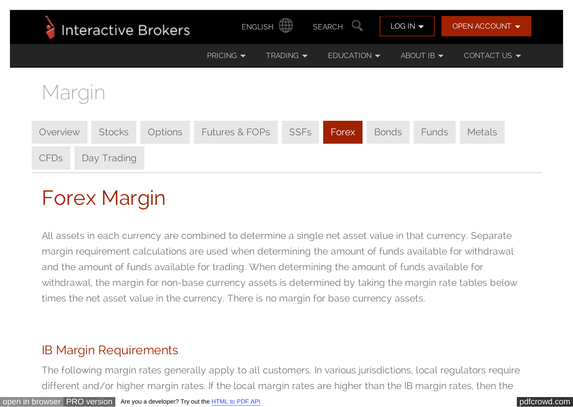| Interactive Brokers                         | ENGLISH <sup>4</sup>                                         | SEARCH <sup>O</sup>  | $LOG IN -$                    | OPEN ACCOUNT $\blacktriangledown$ |
|---------------------------------------------|--------------------------------------------------------------|----------------------|-------------------------------|-----------------------------------|
|                                             | PRICING $\blacktriangledown$<br>TRADING $\blacktriangledown$ | $EDUCATION -$        | ABOUT IB $\blacktriangledown$ | CONTACT US $\blacktriangledown$   |
| Margin                                      |                                                              |                      |                               |                                   |
| <b>Stocks</b><br><b>Options</b><br>Overview | <b>Futures &amp; FOPs</b>                                    | <b>SSFs</b><br>Forex | <b>Bonds</b><br>Funds         | <b>Metals</b>                     |
| <b>CFDs</b><br>Day Trading                  |                                                              |                      |                               |                                   |

# Forex Margin

All assets in each currency are combined to determine a single net asset value in that currency. Separate margin requirement calculations are used when determining the amount of funds available for withdrawal and the amount of funds available for trading. When determining the amount of funds available for withdrawal, the margin for non-base currency assets is determined by taking the margin rate tables below times the net asset value in the currency. There is no margin for base currency assets.

## IB Margin Requirements

The following margin rates generally apply to all customers. In various jurisdictions, local regulators require different and/or higher margin rates. If the local margin rates are higher than the IB margin rates, then the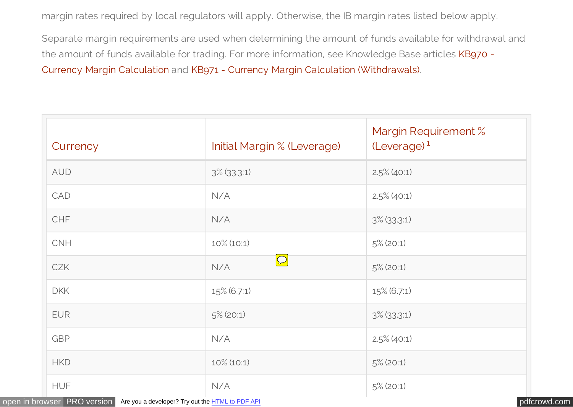margin rates required by local regulators will apply. Otherwise, the IB margin rates listed below apply.

Separate margin requirements are used when determining the amount of funds available for withdrawal and [the amount of funds available for trading. For more information, see Knowledge Base articles KB970 -](http://ibkb.interactivebrokers.com/article/970) Currency Margin Calculation and [KB971 - Currency Margin Calculation \(Withdrawals\).](http://ibkb.interactivebrokers.com/article/971)

| Currency   | Initial Margin % (Leverage) | Margin Requirement %<br>(Leverage) <sup>1</sup> |
|------------|-----------------------------|-------------------------------------------------|
| <b>AUD</b> | $3\%$ (33.3:1)              | $2.5\%$ (40:1)                                  |
| CAD        | N/A                         | $2.5\%$ (40:1)                                  |
| <b>CHF</b> | N/A                         | $3\%$ (33.3:1)                                  |
| <b>CNH</b> | $10\%$ (10:1)               | $5\%$ (20:1)                                    |
| <b>CZK</b> | $\boxed{\mathbb{C}}$<br>N/A | $5\%$ (20:1)                                    |
| <b>DKK</b> | 15% (6.7:1)                 | 15% (6.7:1)                                     |
| <b>EUR</b> | $5\%$ (20:1)                | $3\%$ (33.3:1)                                  |
| <b>GBP</b> | N/A                         | $2.5\%$ (40:1)                                  |
| <b>HKD</b> | $10\%$ (10:1)               | $5\%$ (20:1)                                    |
| <b>HUF</b> | N/A                         | $5\%$ (20:1)                                    |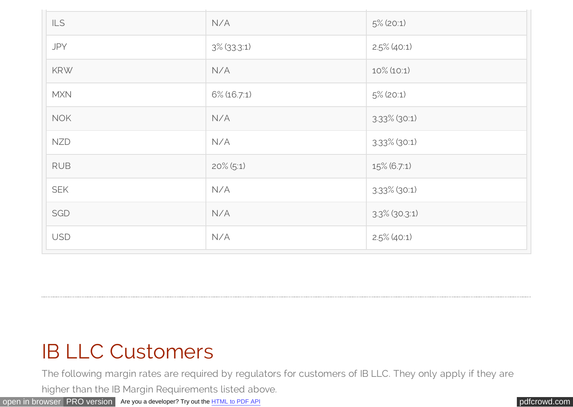| <b>ILS</b> | N/A            | $5\%$ (20:1)     |
|------------|----------------|------------------|
| <b>JPY</b> | $3\%$ (33.3:1) | $2.5\%$ (40:1)   |
| <b>KRW</b> | N/A            | $10\%$ (10:1)    |
| <b>MXN</b> | $6\%$ (16.7:1) | $5\%$ (20:1)     |
| <b>NOK</b> | N/A            | $3.33\%$ (30:1)  |
| <b>NZD</b> | N/A            | $3.33\%$ (30:1)  |
| <b>RUB</b> | $20\%$ (5:1)   | 15% (6.7:1)      |
| <b>SEK</b> | N/A            | $3.33\%$ (30:1)  |
| SGD        | N/A            | $3.3\%$ (30.3:1) |
| <b>USD</b> | N/A            | $2.5\%$ (40:1)   |

## IB LLC Customers

The following margin rates are required by regulators for customers of IB LLC. They only apply if they are

higher than the IB Margin Requirements listed above.

[open in browser](http://pdfcrowd.com/redirect/?url=https%3a%2f%2fwww.interactivebrokers.com%2fen%2findex.php%3ff%3dmarginnew%26p%3dforex%26ns%3dT&id=ma-150827110233-1dab1621) [PRO version](http://pdfcrowd.com/customize/) Are you a developer? Try out the **HTML to PDF API** [pdfcrowd.com](http://pdfcrowd.com)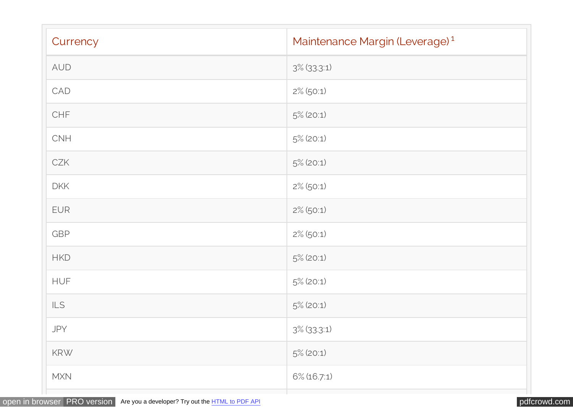| Currency              | Maintenance Margin (Leverage) <sup>1</sup> |
|-----------------------|--------------------------------------------|
| AUD                   | $3\%$ (33.3:1)                             |
| CAD                   | $2\%$ (50:1)                               |
| CHF                   | $5\%$ (20:1)                               |
| CNH                   | $5\%$ (20:1)                               |
| CZK                   | $5\%$ (20:1)                               |
| <b>DKK</b>            | $2\%$ (50:1)                               |
| <b>EUR</b>            | $2\%$ (50:1)                               |
| GBP                   | $2\%$ (50:1)                               |
| <b>HKD</b>            | $5\%$ (20:1)                               |
| <b>HUF</b>            | $5\%$ (20:1)                               |
| $\mathsf{ILS}\xspace$ | $5\%$ (20:1)                               |
| JPY                   | $3\%$ (33.3:1)                             |
| KRW                   | $5\%$ (20:1)                               |
| MXN                   | $6\%$ (16.7:1)                             |
|                       |                                            |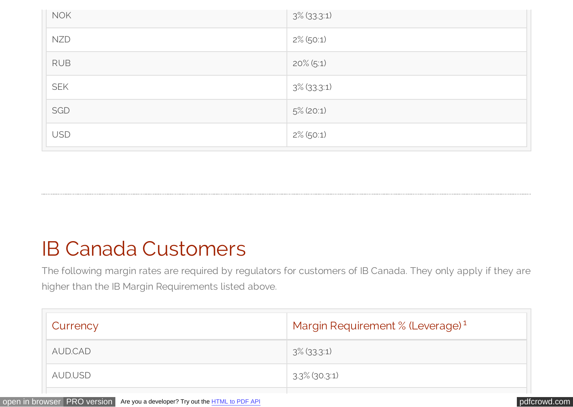| <b>NOK</b> | $3\%$ (33.3:1) |
|------------|----------------|
| <b>NZD</b> | $2\%$ (50:1)   |
| <b>RUB</b> | $20\%$ (5:1)   |
| <b>SEK</b> | $3\%$ (33.3:1) |
| SGD        | $5\%$ (20:1)   |
| <b>USD</b> | $2\%$ (50:1)   |

## IB Canada Customers

The following margin rates are required by regulators for customers of IB Canada. They only apply if they are higher than the IB Margin Requirements listed above.

| Currency | Margin Requirement % (Leverage) <sup>1</sup> |
|----------|----------------------------------------------|
| AUD.CAD  | $3\%$ (33.3:1)                               |
| AUD.USD  | $3.3\%$ (30.3:1)                             |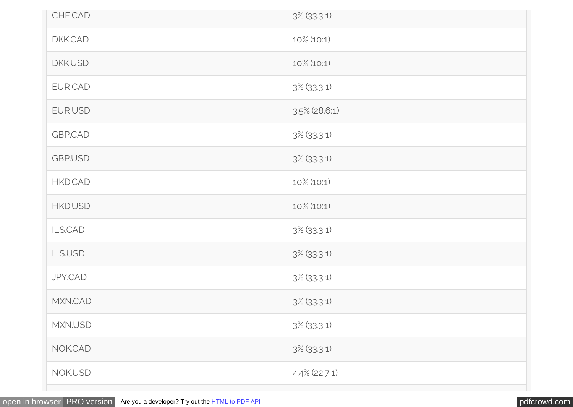| CHF.CAD        | $3\%$ (33.3:1)   |
|----------------|------------------|
| DKK.CAD        | $10\%$ (10:1)    |
| <b>DKK.USD</b> | $10\%$ (10:1)    |
| EUR.CAD        | $3\%$ (33.3:1)   |
| EUR.USD        | $3.5\%$ (28.6:1) |
| <b>GBP.CAD</b> | $3\%$ (33.3:1)   |
| <b>GBP.USD</b> | $3\%$ (33.3:1)   |
| HKD.CAD        | $10\%$ (10:1)    |
| <b>HKD.USD</b> | $10\%$ (10:1)    |
| ILS.CAD        | $3\%$ (33.3:1)   |
| ILS.USD        | $3\%$ (33.3:1)   |
| <b>JPY.CAD</b> | $3\%$ (33.3:1)   |
| MXN.CAD        | $3\%$ (33.3:1)   |
| MXN.USD        | $3\%$ (33.3:1)   |
| NOK.CAD        | $3\%$ (33.3:1)   |
| NOK.USD        | 4.4% (22.7:1)    |
|                |                  |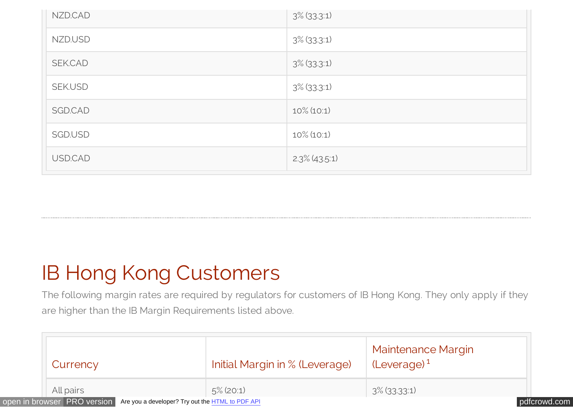| NZD.CAD        | $3\%$ (33.3:1)   |
|----------------|------------------|
| NZD.USD        | $3\%$ (33.3:1)   |
| SEK.CAD        | $3\%$ (33.3:1)   |
| <b>SEK.USD</b> | $3\%$ (33.3:1)   |
| SGD.CAD        | $10\%$ (10:1)    |
| SGD.USD        | $10\%$ (10:1)    |
| USD.CAD        | $2.3\%$ (43.5.1) |

# IB Hong Kong Customers

The following margin rates are required by regulators for customers of IB Hong Kong. They only apply if they are higher than the IB Margin Requirements listed above.

|                             | Currency                                                | Initial Margin in % (Leverage) | <b>Maintenance Margin</b><br>$(Leverage)^1$ |              |
|-----------------------------|---------------------------------------------------------|--------------------------------|---------------------------------------------|--------------|
| All pairs                   |                                                         | $5\%$ (20:1)                   | $3\%$ (33.33:1)                             |              |
| open in browser PRO version | Are you a developer? Try out the <b>HTML</b> to PDF API |                                |                                             | pdfcrowd.com |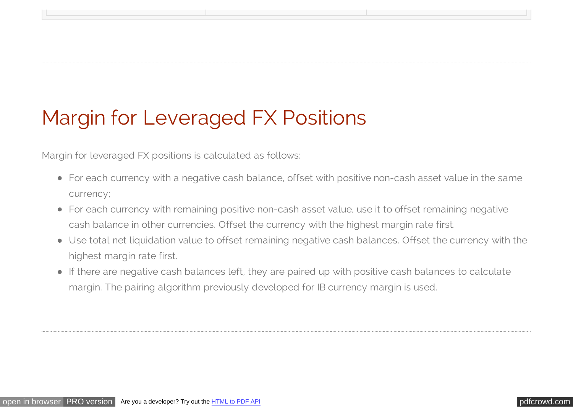# Margin for Leveraged FX Positions

Margin for leveraged FX positions is calculated as follows:

For each currency with a negative cash balance, offset with positive non-cash asset value in the same currency;

the contract of the contract of the contract of the contract of the contract of the contract of the contract of

- For each currency with remaining positive non-cash asset value, use it to offset remaining negative cash balance in other currencies. Offset the currency with the highest margin rate first.
- Use total net liquidation value to offset remaining negative cash balances. Offset the currency with the highest margin rate first.
- If there are negative cash balances left, they are paired up with positive cash balances to calculate margin. The pairing algorithm previously developed for IB currency margin is used.

[open in browser](http://pdfcrowd.com/redirect/?url=https%3a%2f%2fwww.interactivebrokers.com%2fen%2findex.php%3ff%3dmarginnew%26p%3dforex%26ns%3dT&id=ma-150827110233-1dab1621) [PRO version](http://pdfcrowd.com/customize/) Are you a developer? Try out th[e HTML to PDF API](http://pdfcrowd.com/html-to-pdf-api/?ref=pdf) [pdfcrowd.com](http://pdfcrowd.com)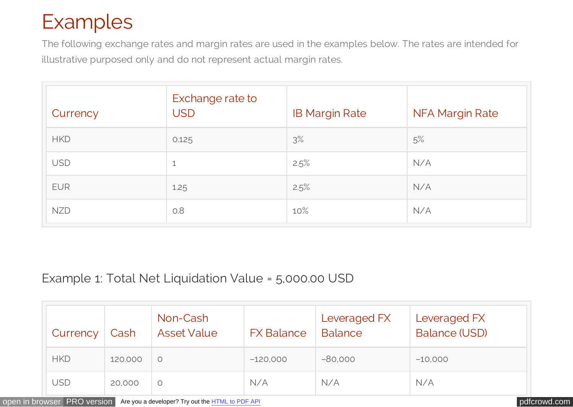# Examples

The following exchange rates and margin rates are used in the examples below. The rates are intended for illustrative purposed only and do not represent actual margin rates.

| Currency   | Exchange rate to<br><b>USD</b> | <b>IB Margin Rate</b> | <b>NFA Margin Rate</b> |
|------------|--------------------------------|-----------------------|------------------------|
| <b>HKD</b> | 0.125                          | 3%                    | 5%                     |
| <b>USD</b> | 1                              | 2.5%                  | N/A                    |
| <b>EUR</b> | 1.25                           | 2.5%                  | N/A                    |
| <b>NZD</b> | 0.8                            | 10%                   | N/A                    |

## Example 1: Total Net Liquidation Value = 5,000.00 USD

| Currency   | Cash    | Non-Cash<br><b>Asset Value</b> | <b>FX Balance</b> | Leveraged FX<br><b>Balance</b> | Leveraged FX<br><b>Balance (USD)</b> |
|------------|---------|--------------------------------|-------------------|--------------------------------|--------------------------------------|
| <b>HKD</b> | 120.000 | $\circ$                        | $-120,000$        | $-80,000$                      | $-10,000$                            |
| USD        | 20,000  | O                              | N/A               | N/A                            | N/A                                  |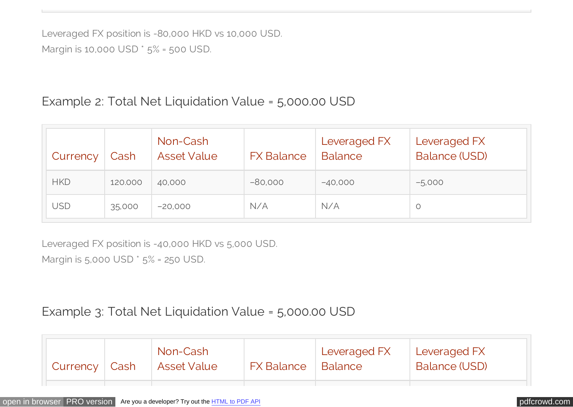Leveraged FX position is -80,000 HKD vs 10,000 USD. Margin is 10,000 USD \* 5% = 500 USD.

## Example 2: Total Net Liquidation Value = 5,000.00 USD

| Currency   | Cash    | Non-Cash<br><b>Asset Value</b> | <b>FX Balance</b> | Leveraged FX<br><b>Balance</b> | Leveraged FX<br><b>Balance (USD)</b> |
|------------|---------|--------------------------------|-------------------|--------------------------------|--------------------------------------|
| <b>HKD</b> | 120.000 | 40,000                         | $-80,000$         | $-40,000$                      | $-5,000$                             |
| USD        | 35,000  | $-20,000$                      | N/A               | N/A                            | $\circ$                              |

Leveraged FX position is -40,000 HKD vs 5,000 USD.

Margin is 5,000 USD \* 5% = 250 USD.

## Example 3: Total Net Liquidation Value = 5,000.00 USD

| Currency | Cash | Non-Cash<br>  Asset Value | <b>FX Balance</b> | Leveraged FX<br>Balance | Leveraged FX<br>Balance (USD) |
|----------|------|---------------------------|-------------------|-------------------------|-------------------------------|
|          |      |                           |                   |                         |                               |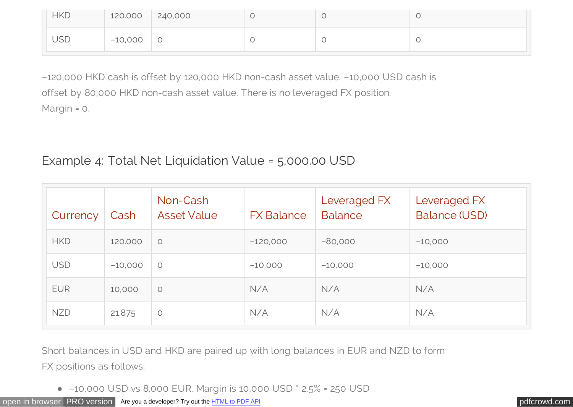| <b>HKD</b> | 120.000 240,000 |  |  |
|------------|-----------------|--|--|
| <b>USD</b> | $-10,000$       |  |  |

–120,000 HKD cash is offset by 120,000 HKD non-cash asset value. –10,000 USD cash is offset by 80,000 HKD non-cash asset value. There is no leveraged FX position. Margin = 0.

## Example 4: Total Net Liquidation Value = 5,000.00 USD

| Currency   | Cash      | Non-Cash<br><b>Asset Value</b> | <b>FX Balance</b> | Leveraged FX<br><b>Balance</b> | Leveraged FX<br><b>Balance (USD)</b> |
|------------|-----------|--------------------------------|-------------------|--------------------------------|--------------------------------------|
| <b>HKD</b> | 120,000   | $\circ$                        | $-120,000$        | $-80,000$                      | $-10,000$                            |
| <b>USD</b> | $-10,000$ | $\circ$                        | $-10,000$         | $-10,000$                      | $-10,000$                            |
| <b>EUR</b> | 10,000    | $\circ$                        | N/A               | N/A                            | N/A                                  |
| <b>NZD</b> | 21.875    | $\circ$                        | N/A               | N/A                            | N/A                                  |

Short balances in USD and HKD are paired up with long balances in EUR and NZD to form FX positions as follows:

–10,000 USD vs 8,000 EUR. Margin is 10,000 USD \* 2.5% = 250 USD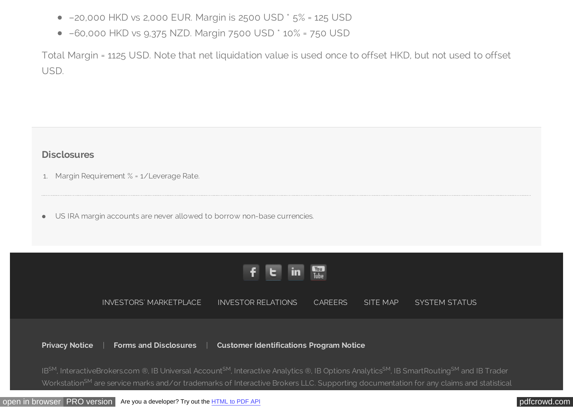- –20,000 HKD vs 2,000 EUR. Margin is 2500 USD \* 5% = 125 USD
- –60,000 HKD vs 9,375 NZD. Margin 7500 USD \* 10% = 750 USD

Total Margin = 1125 USD. Note that net liquidation value is used once to offset HKD, but not used to offset USD.

### **Disclosures**

- 1. Margin Requirement % = 1/Leverage Rate.
- US IRA margin accounts are never allowed to borrow non-base currencies.  $\bullet$



[INVESTORS' MARKETPLACE](https://gdcdyn.interactivebrokers.com/mkt/?src=tradersmktpl&url=/Universal/servlet/MarketPlace.MarketPlaceServlet) [INVESTOR RELATIONS](https://investors.interactivebrokers.com/ir/main.php) [CAREERS](https://careers-interactivebrokers.icims.com/) [SITE MAP](https://www.interactivebrokers.com/en/index.php?f=4734&ns=T) [SYSTEM STATUS](https://www.interactivebrokers.com/en/index.php?f=2225&ns=T)

**[Privacy Notice](https://www.interactivebrokers.com/en/index.php?f=305&ns=T)** | **[Forms and Disclosures](https://www.interactivebrokers.com/en/index.php?f=1552&ns=T)** | **[Customer Identifications Program Notice](https://www.interactivebrokers.com/en/index.php?f=4088&ns=T)**

IB<sup>SM</sup>, InteractiveBrokers.com ®, IB Universal Account<sup>SM</sup>, Interactive Analytics ®, IB Options Analytics<sup>SM</sup>, IB SmartRouting<sup>SM</sup> and IB Trader Workstation<sup>SM</sup> are service marks and/or trademarks of Interactive Brokers LLC. Supporting documentation for any claims and statistical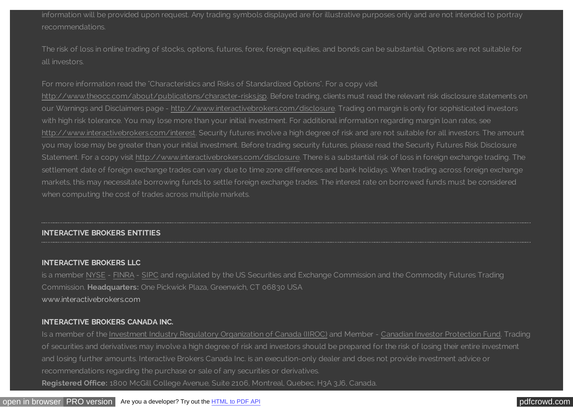information will be provided upon request. Any trading symbols displayed are for illustrative purposes only and are not intended to portray recommendations.

The risk of loss in online trading of stocks, options, futures, forex, foreign equities, and bonds can be substantial. Options are not suitable for all investors.

#### For more information read the "Characteristics and Risks of Standardized Options". For a copy visit

[http://www.theocc.com/about/publications/character-risks.jsp.](http://www.theocc.com/about/publications/character-risks.jsp) Before trading, clients must read the relevant risk disclosure statements on our Warnings and Disclaimers page - [http://www.interactivebrokers.com/disclosure.](https://www.interactivebrokers.com/disclosure) Trading on margin is only for sophisticated investors with high risk tolerance. You may lose more than your initial investment. For additional information regarding margin loan rates, see [http://www.interactivebrokers.com/interest.](https://www.interactivebrokers.com/interest) Security futures involve a high degree of risk and are not suitable for all investors. The amount you may lose may be greater than your initial investment. Before trading security futures, please read the Security Futures Risk Disclosure Statement. For a copy visit [http://www.interactivebrokers.com/disclosure.](https://www.interactivebrokers.com/disclosure) There is a substantial risk of loss in foreign exchange trading. The settlement date of foreign exchange trades can vary due to time zone differences and bank holidays. When trading across foreign exchange markets, this may necessitate borrowing funds to settle foreign exchange trades. The interest rate on borrowed funds must be considered when computing the cost of trades across multiple markets.

### **INTERACTIVE BROKERS ENTITIES**

#### **[INTERACTIVE BROKERS LLC](https://www.interactivebrokers.com/en/home.php)**

is a member [NYSE](http://www.nyse.com/) - [FINRA](http://www.finra.org/) - [SIPC](http://www.sipc.org/) and regulated by the US Securities and Exchange Commission and the Commodity Futures Trading Commission. **Headquarters:** One Pickwick Plaza, Greenwich, CT 06830 USA [www.interactivebrokers.com](https://www.interactivebrokers.com/en/home.php)

#### **[INTERACTIVE BROKERS CANADA INC.](https://www.interactivebrokers.ca/en/main.php)**

Is a member of the [Investment Industry Regulatory Organization of Canada \(IIROC\)](http://www.iiroc.ca/) and Member - [Canadian Investor Protection Fund.](http://www.cipf.cs/) Trading of securities and derivatives may involve a high degree of risk and investors should be prepared for the risk of losing their entire investment and losing further amounts. Interactive Brokers Canada Inc. is an execution-only dealer and does not provide investment advice or recommendations regarding the purchase or sale of any securities or derivatives. **Registered Office:** 1800 McGill College Avenue, Suite 2106, Montreal, Quebec, H3A 3J6, Canada.